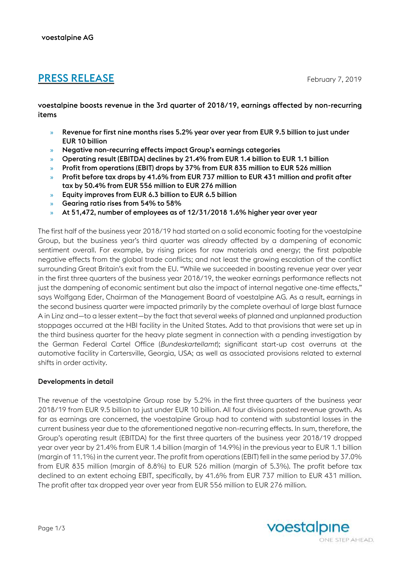# **PRESS RELEASE** February 7, 2019

voestalpine boosts revenue in the 3rd quarter of 2018/19, earnings affected by non-recurring items

- » Revenue for first nine months rises 5.2% year over year from EUR 9.5 billion to just under EUR 10 billion
- » Negative non-recurring effects impact Group's earnings categories
- » Operating result (EBITDA) declines by 21.4% from EUR 1.4 billion to EUR 1.1 billion
- » Profit from operations (EBIT) drops by 37% from EUR 835 million to EUR 526 million
- » Profit before tax drops by 41.6% from EUR 737 million to EUR 431 million and profit after tax by 50.4% from EUR 556 million to EUR 276 million
- » Equity improves from EUR 6.3 billion to EUR 6.5 billion
- » Gearing ratio rises from 54% to 58%
- » At 51,472, number of employees as of 12/31/2018 1.6% higher year over year

The first half of the business year 2018/19 had started on a solid economic footing for the voestalpine Group, but the business year's third quarter was already affected by a dampening of economic sentiment overall. For example, by rising prices for raw materials and energy; the first palpable negative effects from the global trade conflicts; and not least the growing escalation of the conflict surrounding Great Britain's exit from the EU. "While we succeeded in boosting revenue year over year in the first three quarters of the business year 2018/19, the weaker earnings performance reflects not just the dampening of economic sentiment but also the impact of internal negative one-time effects," says Wolfgang Eder, Chairman of the Management Board of voestalpine AG. As a result, earnings in the second business quarter were impacted primarily by the complete overhaul of large blast furnace A in Linz and—to a lesser extent—by the fact that several weeks of planned and unplanned production stoppages occurred at the HBI facility in the United States. Add to that provisions that were set up in the third business quarter for the heavy plate segment in connection with a pending investigation by the German Federal Cartel Office (*Bundeskartellamt*); significant start-up cost overruns at the automotive facility in Cartersville, Georgia, USA; as well as associated provisions related to external shifts in order activity.

# Developments in detail

The revenue of the voestalpine Group rose by 5.2% in the first three quarters of the business year 2018/19 from EUR 9.5 billion to just under EUR 10 billion. All four divisions posted revenue growth. As far as earnings are concerned, the voestalpine Group had to contend with substantial losses in the current business year due to the aforementioned negative non-recurring effects. In sum, therefore, the Group's operating result (EBITDA) for the first three quarters of the business year 2018/19 dropped year over year by 21.4% from EUR 1.4 billion (margin of 14.9%) in the previous year to EUR 1.1 billion (margin of 11.1%) in the current year. The profit from operations (EBIT) fell in the same period by 37.0% from EUR 835 million (margin of 8.8%) to EUR 526 million (margin of 5.3%). The profit before tax declined to an extent echoing EBIT, specifically, by 41.6% from EUR 737 million to EUR 431 million. The profit after tax dropped year over year from EUR 556 million to EUR 276 million.

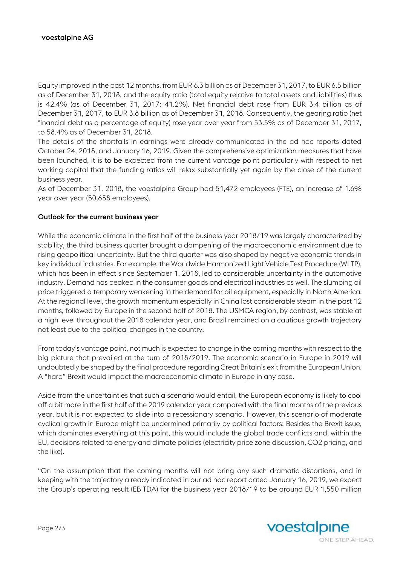Equity improved in the past 12 months, from EUR 6.3 billion as of December 31, 2017, to EUR 6.5 billion as of December 31, 2018, and the equity ratio (total equity relative to total assets and liabilities) thus is 42.4% (as of December 31, 2017: 41.2%). Net financial debt rose from EUR 3.4 billion as of December 31, 2017, to EUR 3.8 billion as of December 31, 2018. Consequently, the gearing ratio (net financial debt as a percentage of equity) rose year over year from 53.5% as of December 31, 2017, to 58.4% as of December 31, 2018.

The details of the shortfalls in earnings were already communicated in the ad hoc reports dated October 24, 2018, and January 16, 2019. Given the comprehensive optimization measures that have been launched, it is to be expected from the current vantage point particularly with respect to net working capital that the funding ratios will relax substantially yet again by the close of the current business year.

As of December 31, 2018, the voestalpine Group had 51,472 employees (FTE), an increase of 1.6% year over year (50,658 employees).

#### Outlook for the current business year

While the economic climate in the first half of the business year 2018/19 was largely characterized by stability, the third business quarter brought a dampening of the macroeconomic environment due to rising geopolitical uncertainty. But the third quarter was also shaped by negative economic trends in key individual industries. For example, the Worldwide Harmonized Light Vehicle Test Procedure (WLTP), which has been in effect since September 1, 2018, led to considerable uncertainty in the automotive industry. Demand has peaked in the consumer goods and electrical industries as well. The slumping oil price triggered a temporary weakening in the demand for oil equipment, especially in North America. At the regional level, the growth momentum especially in China lost considerable steam in the past 12 months, followed by Europe in the second half of 2018. The USMCA region, by contrast, was stable at a high level throughout the 2018 calendar year, and Brazil remained on a cautious growth trajectory not least due to the political changes in the country.

From today's vantage point, not much is expected to change in the coming months with respect to the big picture that prevailed at the turn of 2018/2019. The economic scenario in Europe in 2019 will undoubtedly be shaped by the final procedure regarding Great Britain's exit from the European Union. A "hard" Brexit would impact the macroeconomic climate in Europe in any case.

Aside from the uncertainties that such a scenario would entail, the European economy is likely to cool off a bit more in the first half of the 2019 calendar year compared with the final months of the previous year, but it is not expected to slide into a recessionary scenario. However, this scenario of moderate cyclical growth in Europe might be undermined primarily by political factors: Besides the Brexit issue, which dominates everything at this point, this would include the global trade conflicts and, within the EU, decisions related to energy and climate policies (electricity price zone discussion, CO2 pricing, and the like).

"On the assumption that the coming months will not bring any such dramatic distortions, and in keeping with the trajectory already indicated in our ad hoc report dated January 16, 2019, we expect the Group's operating result (EBITDA) for the business year 2018/19 to be around EUR 1,550 million